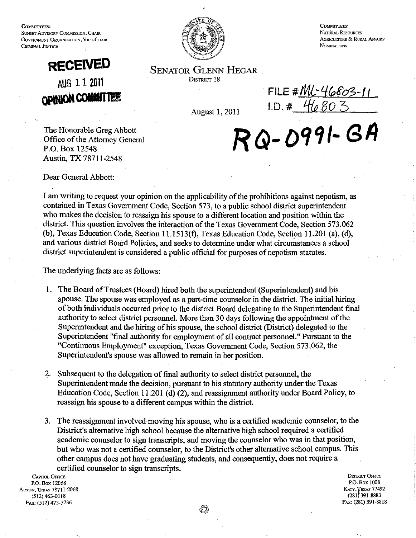COMMITTEES: SUNSET ADVISORY COMMISSION, CHAIR GOVERNMENT ORGANIZATION, VICE-CHAIR CRIMINAL JUSTICE





COMMETERS' NATURAL REsOURCES AGRICULTIJRE & RURAL AFFAIRS **NOMINATIONS** 

SENATOR GLENN HEGAR DISTRICT 18

August 1,2011

FILE #*INL*-46803-11  $I.D. # 46803$ 

The Honorable Greg Abbott Office of the Attorney General P.O. Box 12548 Austin, TX 78711-2548

Dear General Abbott:

I am writing to request your opinion on the applicability of the prohibitions against nepotism, as contained in Texas Government Code, Section 573, to a public school district superintendent who makes the decision to reassign his spouse to a different location and position within the district. This question involves the interaction of the Texas Government Code, Section 573.062 (b), Texas Education Code, Section 11.1513(f), Texas Education Code, Section 11.201 (a), (d), and various district Board Policies, and seeks to determine under what circumstances a school district superintendent is considered a public official for purposes of nepotism statutes.

The underlying facts are as follows:

- 1. The Board of Trustees (Board) hired both the superintendent (Superintendent) and his spouse. The spouse was employed as a part-time counselor in the district. The initial hiring of both individuals occurred prior to the district Board delegating to the Superintendent final authority to select district personnel. More than 30 days following the appointment of the Superintendent and the hiring of his spouse, the school district (District) delegated to the Superintendent "final authority for employment of all contract personnel." Pursuant to the "Continuous Employment" exception, Texas Government Code, Section 573.062, the Superintendent's spouse was allowed to remain in her position.
- 2. Subsequent to the delegation of final authority to select district personnel, the Superintendent made the decision, pursuant to his statutory authority under the Texas Education Code, Section 11.201 (d) (2), and reassignment authority under Board Policy, to reassign his spouse to a different campus within the district.
- 3. The reassigmnent involved moving his spouse, who is a certified academic counselor, to the District's alternative high school because the alternative high school required a certified academic counselor to sign transcripts, and moving the counselor who was in that position, but who was not a certified counselor, to the District's other alternative school campus. This other campus does not have graduating students, and consequently, does not require a certified counselor to sign transcripts.<br>CAPITOL OFFICE

P.o. Box 12068 AUSTIN, TEXAS 78711-2068 (512) 463-0118 FAX: (512) 475·3736

DISTRICT OFFICE P.o. Box 1008 KATY, TEXAS 77492 (281j391.8883 FAX: (281) 391·8818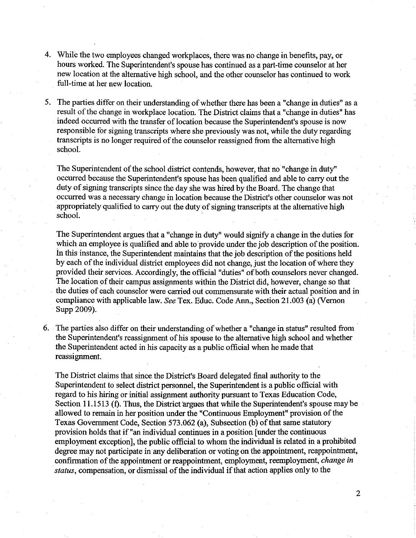- 4. While the two employees changed workplaces, there was no change in benefits, pay, or hours worked. The Superintendent's spouse has continued as a part-time counselor at her new location at the alternative high school, and the other counselor has continued to work full-time at her new location.
- 5. The parties differ on their understanding of whether there has been a "change in duties" as a result of the change in workplace location. The District claims that a "change in duties" has indeed occurred with the transfer of location because the Superintendent's spouse is now responsible for signing transcripts where she previously was not, while the duty regarding transcripts is no longer required of the counselor reassigned from the alternative high school.

The Superintendent of the school district contends, however, that no "change in duty" occurred because the Superintendent's spouse has been qualified and able to carry out the duty of signing transcripts since the day she was hired by the Board. The change that occurred was a necessary change in location because the District's other counselor was not appropriately qualified to carry out the duty of signing transcripts at the alternative high school.

The Superintendent argues that a "change in duty" would signify a change in the duties for which an employee is qualified and able to provide under the job description of the position. in this instance, the Superintendent maintains that the job description of the positions held by each of the individual district employees did not change, just the location of where they provided their services. Accordingly, the official "duties" of both counselors never changed. The location of their campus assignments within the District did, however, change so that the duties of each counselor were carried out commensurate with their actual position and in compliance with applicable law. *See* Tex. Educ. Code Ann., Section 21.003 (a) (Vernon Supp 2009).

6. The parties also differ on their understanding of whether a "change in status" resulted from· the Superintendent's reassignment of his spouse to the alternative high school and whether the Superintendent acted in his capacity as a public official when he made that reassignment.

The District claims that since. the District's Board delegated final authority to the Superintendent to select district personnel, the Superintendent is a public official with regard to his hiring or initial assignment authority pursuant to Texas Education Code, Section 11.1513 (f). Thus, the District argues that while the Superintendent's spouse may be allowed to remain in her position under the "Continuous Employment" provision of the Texas Government Code, Section 573.062 (a), Subsection (b) of that same statutory provision holds that if "an individual continues in a position [under the continuous employment exception], the public official to whom the individual is related in a prohibited degree may not participate in any deliberation or voting on the appointment, reappointment, confirmation of the appointment or reappointment, employment, reemployment, *change in status,* compensation, or dismissal of the individual if that action applies only to the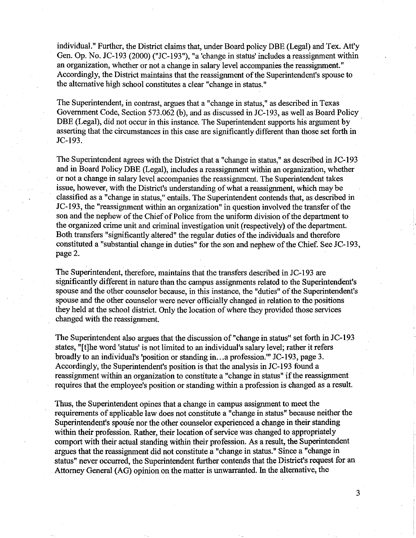individual." Further, the District claims that, under Board policy DBE (Legal) and Tex. Att'y Gen. Op. No. JC-193 (2000) ("JC-193"), "a 'change in status' includes a reassignment within an organization, whether or not a change in salary level accompanies the reassignment." Accordingly, the District maintains that the reassignment of the Superintendent's spouse to the alternative high school constitutes a clear "change in status."

The Superintendent, in contrast, argues that a "change in status," as described in Texas Government Code, Section 573.062 (b), and as discussed in JC-193, as well as Board Policy DBE (Legal), did not occur in this instance. The Superintendent supports his argument by asserting that the circumstances in this case are significantly different than those set forth in JC-193.

The Superintendent agrees with the District that a "change in status," as described in JC-193 and in Board Policy DBE (Legal), includes a reassignment within an organization, whether or not a change in salary level accompanies the reassignment. The Superintendent takes issue, however, with the District's understanding of what a reassignment, which may be classified as a "change in status," entails. The Superintendent contends that, as described in JC-193, the "reassignment within an organization" in question involved the transfer of the son and the nephew of the Chief of Police from the uniform division of the department to the organized crime unit and criminal investigation unit (respectively) of the department. Both transfers "significantly altered" the regular duties of the individuals and therefore constituted a "substantial change in duties" for the son and nephew of the Chief. See JC-193, page 2.

The Superintendent, therefore, maintains that the transfers described in JC-193 are significantly different in nature than the campus assignments related to the Superintendent's spouse and the other counselor because, in this instance, the "duties" of the Superintendent's spouse and the other counselor were never officially changed in relation to the positions they held at the school district. Only the location of where they provided those services changed with the reassignment.

The Superintendent also argues that the discussion of "change in status" set forth in JC-193 states, "[t]he word 'status' is not limited to an individual's salary level; rather it refers broadly to an individual's 'position or standing in ... a profession.'" JC-193, page 3. Accordingly, the Superintendent's position is that the analysis in JC-193 found a reassignment within an organization to constitute a "change in status" if the reassignment requires that the employee's position or standing within a profession is changed as a result.

Thus, the Superintendent opines that a change in campus assignment to meet the requirements of applicable law does not constitute a "change in status" because neither the Superintendent's spouse nor the other counselor experienced a change in their standing within their profession. Rather, their location of service was changed to appropriately comport with their actual standing within their profession. As a result, the Superintendent argues that the reassignment did not constitute a "change in status." Since a "change in status" never occurred, the Superintendent further contends that the District's request for an Attorney General (AG) opinion on the matter is unwarranted. In the alternative, the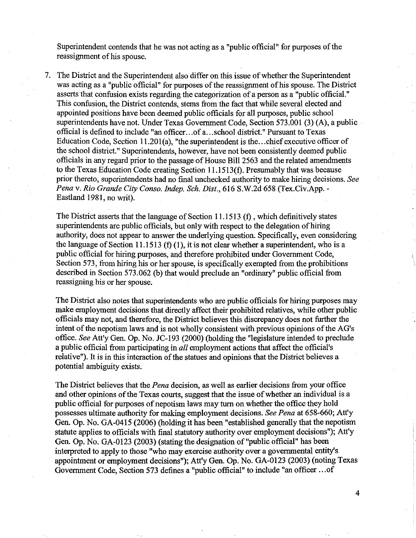Superintendent contends that he was not acting as a "public official" for purposes of the reassignment of his spouse.

7. The District and the Superintendent also differ on this issue of whether the Superintendent was acting as a "public official" for purposes of the reassignment of his spouse. The District asserts that confusion exists regarding the categorization of a person as a "public official." This confusion, the District contends, stems from the fact that while several elected and appointed positions have been deemed public officials for all purposes, public school superintendents have not. Under Texas Government Code, Section 573.001 (3) (A), a public· official is defined to include "an officer ... of a ... school district." Pursuant to Texas Education Code, Section 11.201(a), "the superintendent is the... chief executive officer of the school district." Superintendents, however, have not been consistently deemed public officials in any regard prior to the passage of House Bill 2563 and the related amendments to the Texas Education Code creating Section l1.l513(t). Presumably that was because prior thereto, superintendents had no final unchecked authority to make hiring decisions. *See Pena* v. *Rio Grande City Canso. Indep. Sch. Dist.,* 616 S.W.2d 658 (Tex.Civ.App.- Eastland 1981, no writ).

The District asserts that the language of Section 11.1513  $(f)$ , which definitively states superintendents are public officials, but only with respect to the delegation of hiring authority, does not appear to answer the underlying question. Specifically, even considering the language of Section 11.1513 (f) (1), it is not clear whether a superintendent, who is a public official for hiring purposes, and therefore prohibited under Government Code, Section 573, from hiring his or her spouse, is specifically exempted from the prohibitions described in Section 573.062 (b) that would preclude an "ordinary" public official from reassigning his or her spouse.

The District also notes that superintendents who are public officials for hiring purposes may make employment decisions that directly affect their prohibited relatives, while other public officials may not, and therefore, the District believes this discrepancy does not further the intent of the nepotism laws and is not wholly consistent with previous opinions of the AG's office. *See* Att'y Gen. Op. No. JC-193 (2000) (holding the "legislature intended to preclude a public official from participating in *all* employment actions that affect the official's relative"). It is in this interaction of the statues and opinions that the District believes a potential ambiguity exists.

The District believes that the *Pena* decision, as well as earlier decisions from your office and other opinions of the Texas courts, suggest that the issue of whether an individual is a public official for purposes of nepotism laws may turn on whether the office they hold possesses ultimate authority for making employment decisions. *See Pena* at 658-660; Att'y Gen. Op. No. GA-04l5 (2006) (holding it has been "established generally that the nepotism statute applies to officials with final statutory authority over employment decisions"); Att'y Gen. Op. No. GA-0123 (2003) (stating the designation of "public official" has been interpreted to apply to those "who may exercise authority over a governmental entity's appointment or employment decisions"); Att'y Gen. Op. No. GA-0123 (2003) (noting Texas Government Code, Section 573 defines a "public official" to include "an officer ... of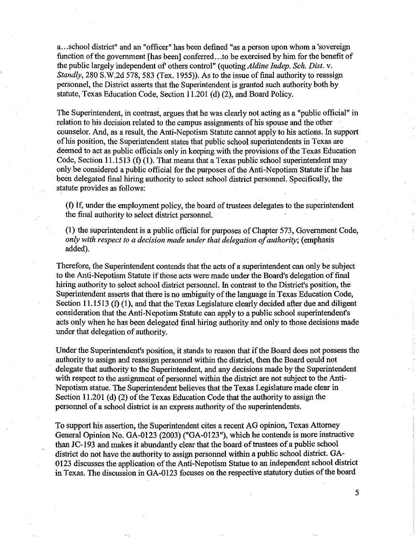a ... school district" and an "officer" has been defined "as a person upon whom a 'sovereign function of the government [has been] conferred...to be exercised by him for the benefit of the public largely independent of others control" (quoting *Aldine Indep. Sch. Dist.* v. *Standly,* 280 S.W.2d 578,583 (Tex. 1955)). As to the issue of final authority to reassign personnel, the District asserts that the Superintendent is granted such authority both by statute, Texas Education Code, Section 11.201 (d) (2), and Board Policy.

The Superintendent, in contrast, argues that he was clearly not acting as a "public official" in relation to his decision related to the campus assignments of his spouse and the other counselor. And, as a result, the Anti-Nepotism Statute cannot apply to his actions. In support of his position, the Superintendent states that public school superintendents in Texas are deemed to act as public officials only in keeping with the provisions of the Texas Education Code, Section 11.1513 (f) (1). That means that a Texas public school superintendent may only be considered a public official for the purposes of the Anti-Nepotism Statute ifhe has been delegated final hiring authority to select school district personnel. Specifically, the statute provides as follows:

(f) If, under the employment policy, the board of trustees delegates to the superintendent the final authority to select district personnel.

(I) the superintendent is a public official for purposes of Chapter 573, Government Code, *only with respect to a decision made under that delegation of authority;* (emphasis added).

Therefore, the Superintendent contends that the acts of a superintendent can only be subject to the Anti-Nepotism Statute if those acts were made under the Board's delegation of final hiring authority to select school district personnel. In contrast to the District's position, the Superintendent asserts that there is no ambiguity of the language in Texas Education Code, Section 11.1513 (f) (I), and that the Texas Legislature clearly decided after due and diligent consideration that the Anti-Nepotism Statute can apply to a public school superintendent's acts only when he has been delegated final hiring authority and only to those decisions made under that delegation of authority.

Under the Superintendent's position, it stands to reason that if the Board does not possess the authority to assign and reassign personnel within the district, then the Board could not delegate that authority to the Superintendent, and any decisions made by the Superintendent with respect to the assignment of personnel within the district are not subject to the Anti-Nepotism statue. The Superintendent believes that the Texas Legislature made clear in Section 11.201 (d)  $(2)$  of the Texas Education Code that the authority to assign the personnel of a school district is an express authority of the superintendents.

To support his assertion, the Superintendent cites a recent AG opinion, Texas Attorney General Opinion No. GA-0123 (2003) ("GA-0123"), which he contends is more instructive than JC-193 and makes it abundantly clear that the board of trustees of a public school district do not have the authority to assign personnel within a public school district. GA-0123 discusses the application of the Anti-Nepotism Statue to an independent school district in Texas. The discussion in GA-0123 focuses on the respective statutory duties of the board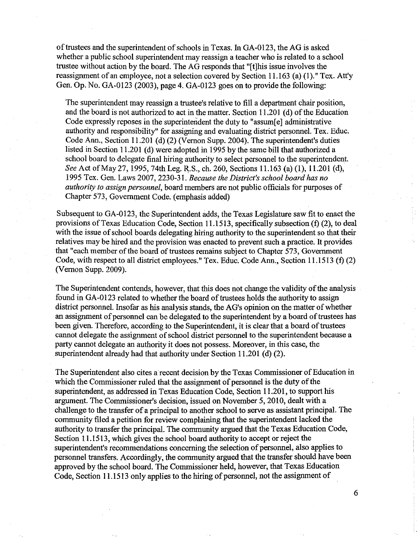of trustees and the superintendent of schools in Texas. In GA-OI23, the AG is asked whether a public school superintendent may reassign a teacher who is related to a school trustee without action by the board. The AG responds that "[t]his issue involves the reassignment of an employee, not a selection covered by Section 11.163 (a) (1)." Tex. Att'y Gen. Op. No. GA-0123 (2003), page 4. GA-0123 goes on to provide the following:

The superintendent may reassign a trustee's relative to fill a department chair position, and the board is not authorized to act in the matter. Section 11.201 (d) of the Education Code expressly reposes in the superintendent the duty to "assum[e] administrative authority and responsibility" for assigning and evaluating district personnel. Tex. Educ. Code Ann., Section 11.201 (d) (2) (Vernon Supp. 2004). The superintendent's duties listed in Section 11.201 (d) were adopted in 1995 by the same bill that authorized a school board to delegate final hiring authority to select personnel to the superintendent. *See* Act of May 27,1995, 74th Leg. R.S., ch. 260, Sections 11.163 (a) (1), 11.201 (d), 1995 Tex. Gen. Laws 2007, 2230-31. *Because the District's school board has no authority to assign personnel,* board members are not public officials for purposes of Chapter 573, Government Code. (emphasis added)

Subsequent to GA-0123, the Superintendent adds, the Texas Legislature saw fit to enact the provisions of Texas Education Code, Section 11.1513, specifically subsection (f) (2), to deal with the issue of school boards delegating hiring authority to the superintendent so that their relatives may be hired and the provision was enacted to prevent such a practice. It provides that "each member of the board of trustees remains subject to Chapter 573, Government Code, with respect to all district employees." Tex. Educ. Code Ann., Section 11.1513 (f) (2) (Vernon Supp. 2009).

The Superintendent contends, however, that this does not change the validity of the analysis found in GA-0123 related to whether the board of trustees holds the authority to assign district personnel. Insofar as his analysis stands, the AG's opinion on the matter of whether an assignment of personnel can be delegated to the superintendent by a board of trustees has been given. Therefore, according to the Superintendent, it is clear that a board of trustees cannot delegate the assignment of school district personnel to the superintendent because a party cannot delegate an authority it does not possess. Moreover, in this case, the superintendent already had that authority under Section 11.201 (d) (2).

The Superintendent also cites a recent decision by the Texas Commissioner of Education in which the Commissioner ruled that the assignment of personnel is the duty of the superintendent, as addressed in Texas Education Code, Section 11.201, to support his argument. The Commissioner's decision, issued on November 5, 2010, dealt with a challenge to the transfer of a principal to another school to serve as assistant principal. The community filed a petition for review complaining that the superintendent lacked the authority to transfer the principal. The community argued that the Texas Education Code, Section 11.1513, which gives the school board authority to accept or reject the superintendent's recommendations concerning the selection of personnel, also applies to personnel transfers. Accordingly, the community argued that the transfer should have been approved by the school board. The Commissioner held, however, that Texas Education Code, Section 11.1513 only applies to the hiring of personnel, not the assignment of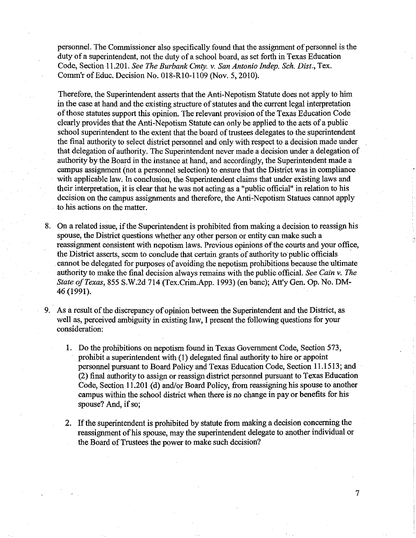personnel. The Commissioner also specifically found that the assignment of personnel is the duty of a superintendent, not the duty of a school board, as set forth in Texas Education Code, Section 11.201. *See The Burbank Cmty.* v. *San Antonio Indep. Sch. Dist.,* Tex. Comm'r of Educ. Decision No. 018-RIO-II09 (Nov. 5,2010).

Therefore, the Superintendent asserts that the Anti-Nepotism Statute does not apply to him in the case at hand and the existing structure of statutes and the current legal interpretation of those statutes support this opinion. The relevant provision of the Texas Education Code clearly provides that the Anti-Nepotism Statute can only be applied to the acts of a public school superintendent to the extent that the board of trustees delegates to the superintendent the final authority to select district personnel and only with respect to a decision made under that delegation of authority. The Superintendent never made a decision under a delegation of authority by the Board in the instance at hand, and accordingly, the Superintendent made a campus assignment (not a personnel selection) to ensure that the District was in compliance with applicable law. In conclusion, the Superintendent claims that under existing laws and their interpretation, it is clear that he was not acting as a "public official" in relation to his decision on the campus assignments and therefore, the Anti-Nepotism Statues cannot apply to his actions on the matter.

- 8. On a related issue, if the Superintendent is prohibited from making a decision to reassign his spouse, the District questions whether any other person or entity can make such a reassignment consistent with nepotism laws. Previous opinions of the courts and your office, the District asserts, seem to conclude that certain grants of authority to public officials . . cannot be delegated for purposes of avoiding the nepotism prohibitions because the ultimate authority to make the final decision always remains with the public official. *See Cain* v. *The State o/Texas,* 855 S.W.2d 714 (Tex.Crim;App. 1993) (en banc); Att'y Gen. Op. No. DM-46 (1991).
- 9. As a result of the discrepancy of opinion between the Superintendent and the District, as well as, perceived ambiguity in existing law, I present the following questions for your consideration:
	- 1. Do the prohibitions on nepotism found in Texas Government Code, Section 573, prohibit a superintendent with (1) delegated final authority to hire or appoint personnel pursuant to Board Policy and Texas Education Code, Section 11.1513; and (2) final authority to assign or reassign district personnel pursuant to Texas Education Code, Section 11.201 (d) and/or Board Policy, from reassigning his spouse to another campus within the school district when there is no change in payor benefits for his spouse? And, if so;
	- 2. If the superintendent is prohibited by statute from making a decision concerning the reassignment of his spouse, may the superintendent delegate to another individual or the Board of Trustees the power to make such decision?